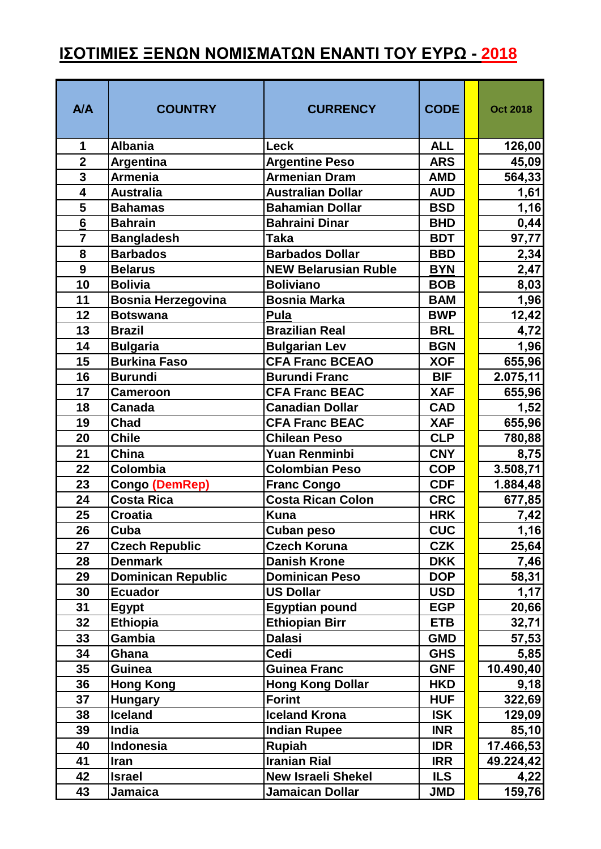## **ΙΣΟΤΙΜΙΕΣ ΞΕΝΩΝ ΝΟΜΙΣΜΑΤΩΝ ΕΝΑΝΤΙ ΤΟΥ ΕΥΡΩ - 2018**

| <b>A/A</b>     | <b>COUNTRY</b>            | <b>CURRENCY</b>             | <b>CODE</b> | <b>Oct 2018</b> |
|----------------|---------------------------|-----------------------------|-------------|-----------------|
| 1              | <b>Albania</b>            | Leck                        | <b>ALL</b>  | 126,00          |
| $\overline{2}$ | <b>Argentina</b>          | <b>Argentine Peso</b>       | <b>ARS</b>  | 45,09           |
| $\overline{3}$ | <b>Armenia</b>            | <b>Armenian Dram</b>        | <b>AMD</b>  | 564,33          |
| $\overline{4}$ | <b>Australia</b>          | <b>Australian Dollar</b>    | <b>AUD</b>  | 1,61            |
| 5              | <b>Bahamas</b>            | <b>Bahamian Dollar</b>      | <b>BSD</b>  | 1,16            |
| 6              | <b>Bahrain</b>            | <b>Bahraini Dinar</b>       | <b>BHD</b>  | 0,44            |
| $\overline{7}$ | <b>Bangladesh</b>         | <b>Taka</b>                 | <b>BDT</b>  | 97,77           |
| 8              | <b>Barbados</b>           | <b>Barbados Dollar</b>      | <b>BBD</b>  | 2,34            |
| 9              | <b>Belarus</b>            | <b>NEW Belarusian Ruble</b> | <b>BYN</b>  | 2,47            |
| 10             | <b>Bolivia</b>            | <b>Boliviano</b>            | <b>BOB</b>  | 8,03            |
| 11             | <b>Bosnia Herzegovina</b> | <b>Bosnia Marka</b>         | <b>BAM</b>  | 1,96            |
| 12             | <b>Botswana</b>           | Pula                        | <b>BWP</b>  | 12,42           |
| 13             | <b>Brazil</b>             | <b>Brazilian Real</b>       | <b>BRL</b>  | 4,72            |
| 14             | <b>Bulgaria</b>           | <b>Bulgarian Lev</b>        | <b>BGN</b>  | 1,96            |
| 15             | <b>Burkina Faso</b>       | <b>CFA Franc BCEAO</b>      | <b>XOF</b>  | 655,96          |
| 16             | <b>Burundi</b>            | <b>Burundi Franc</b>        | <b>BIF</b>  | 2.075,11        |
| 17             | <b>Cameroon</b>           | <b>CFA Franc BEAC</b>       | <b>XAF</b>  | 655,96          |
| 18             | <b>Canada</b>             | <b>Canadian Dollar</b>      | <b>CAD</b>  | 1,52            |
| 19             | <b>Chad</b>               | <b>CFA Franc BEAC</b>       | <b>XAF</b>  | 655,96          |
| 20             | <b>Chile</b>              | <b>Chilean Peso</b>         | <b>CLP</b>  | 780,88          |
| 21             | China                     | <b>Yuan Renminbi</b>        | <b>CNY</b>  | 8,75            |
| 22             | Colombia                  | <b>Colombian Peso</b>       | <b>COP</b>  | 3.508,71        |
| 23             | Congo (DemRep)            | <b>Franc Congo</b>          | <b>CDF</b>  | 1.884,48        |
| 24             | <b>Costa Rica</b>         | Costa Rican Colon           | <b>CRC</b>  | 677,85          |
| 25             | <b>Croatia</b>            | <b>Kuna</b>                 | <b>HRK</b>  | 7,42            |
| 26             | Cuba                      | Cuban peso                  | <b>CUC</b>  | 1,16            |
| 27             | <b>Czech Republic</b>     | <b>Czech Koruna</b>         | <b>CZK</b>  | 25,64           |
| 28             | <b>Denmark</b>            | <b>Danish Krone</b>         | <b>DKK</b>  | 7,46            |
| 29             | <b>Dominican Republic</b> | <b>Dominican Peso</b>       | <b>DOP</b>  | 58,31           |
| 30             | <b>Ecuador</b>            | <b>US Dollar</b>            | <b>USD</b>  | 1,17            |
| 31             | <b>Egypt</b>              | <b>Egyptian pound</b>       | <b>EGP</b>  | 20,66           |
| 32             | <b>Ethiopia</b>           | <b>Ethiopian Birr</b>       | <b>ETB</b>  | 32,71           |
| 33             | Gambia                    | <b>Dalasi</b>               | <b>GMD</b>  | 57,53           |
| 34             | Ghana                     | Cedi                        | <b>GHS</b>  | 5,85            |
| 35             | <b>Guinea</b>             | <b>Guinea Franc</b>         | <b>GNF</b>  | 10.490,40       |
| 36             | <b>Hong Kong</b>          | <b>Hong Kong Dollar</b>     | <b>HKD</b>  | 9,18            |
| 37             | <b>Hungary</b>            | <b>Forint</b>               | <b>HUF</b>  | 322,69          |
| 38             | <b>Iceland</b>            | <b>Iceland Krona</b>        | <b>ISK</b>  | 129,09          |
| 39             | India                     | <b>Indian Rupee</b>         | <b>INR</b>  | 85,10           |
| 40             | Indonesia                 | Rupiah                      | <b>IDR</b>  | 17.466,53       |
| 41             | <b>Iran</b>               | <b>Iranian Rial</b>         | <b>IRR</b>  | 49.224,42       |
| 42             | <b>Israel</b>             | <b>New Israeli Shekel</b>   | <b>ILS</b>  | 4,22            |
| 43             | Jamaica                   | Jamaican Dollar             | <b>JMD</b>  | 159,76          |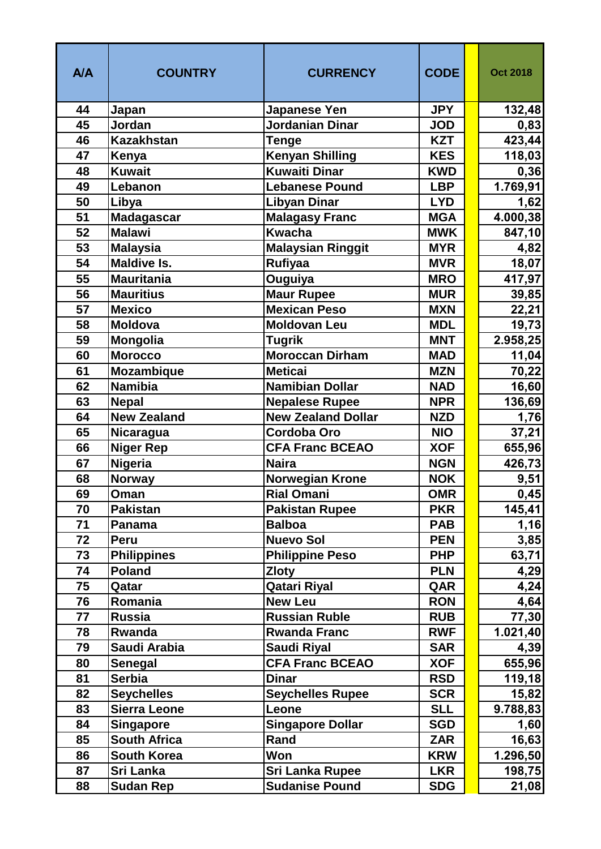| <b>A/A</b> | <b>COUNTRY</b>           | <b>CURRENCY</b>                              | <b>CODE</b>              | <b>Oct 2018</b>   |
|------------|--------------------------|----------------------------------------------|--------------------------|-------------------|
| 44         | Japan                    | <b>Japanese Yen</b>                          | <b>JPY</b>               | 132,48            |
| 45         | Jordan                   | <b>Jordanian Dinar</b>                       | <b>JOD</b>               | 0,83              |
| 46         | <b>Kazakhstan</b>        | <b>Tenge</b>                                 | <b>KZT</b>               | 423,44            |
| 47         | Kenya                    | <b>Kenyan Shilling</b>                       | <b>KES</b>               | 118,03            |
| 48         | <b>Kuwait</b>            | <b>Kuwaiti Dinar</b>                         | <b>KWD</b>               | 0,36              |
| 49         | Lebanon                  | <b>Lebanese Pound</b>                        | <b>LBP</b>               | 1.769,91          |
| 50         | Libya                    | <b>Libyan Dinar</b>                          | <b>LYD</b>               | 1,62              |
| 51         | <b>Madagascar</b>        | <b>Malagasy Franc</b>                        | <b>MGA</b>               | 4.000,38          |
| 52         | <b>Malawi</b>            | <b>Kwacha</b>                                | <b>MWK</b>               | 847,10            |
| 53         | <b>Malaysia</b>          | <b>Malaysian Ringgit</b>                     | <b>MYR</b>               | 4,82              |
| 54         | <b>Maldive Is.</b>       | Rufiyaa                                      | <b>MVR</b>               | 18,07             |
| 55         | <b>Mauritania</b>        | Ouguiya                                      | <b>MRO</b>               | 417,97            |
| 56         | <b>Mauritius</b>         | <b>Maur Rupee</b>                            | <b>MUR</b>               | 39,85             |
| 57         | <b>Mexico</b>            | <b>Mexican Peso</b>                          | <b>MXN</b>               | 22,21             |
| 58         | <b>Moldova</b>           | <b>Moldovan Leu</b>                          | <b>MDL</b>               | 19,73             |
| 59         | <b>Mongolia</b>          | <b>Tugrik</b>                                | <b>MNT</b>               | 2.958,25          |
| 60         | <b>Morocco</b>           | <b>Moroccan Dirham</b>                       | <b>MAD</b>               | 11,04             |
| 61         | <b>Mozambique</b>        | <b>Meticai</b>                               | <b>MZN</b>               | 70,22             |
| 62         | <b>Namibia</b>           | Namibian Dollar                              | <b>NAD</b>               | 16,60             |
| 63         | <b>Nepal</b>             | <b>Nepalese Rupee</b>                        | <b>NPR</b>               | 136,69            |
| 64         | <b>New Zealand</b>       | <b>New Zealand Dollar</b>                    | <b>NZD</b>               | 1,76              |
| 65         | <b>Nicaragua</b>         | Cordoba Oro                                  | <b>NIO</b>               | 37,21             |
| 66         | <b>Niger Rep</b>         | <b>CFA Franc BCEAO</b>                       | <b>XOF</b>               | 655,96            |
| 67         | <b>Nigeria</b>           | <b>Naira</b>                                 | <b>NGN</b>               | 426,73            |
| 68         | <b>Norway</b>            | <b>Norwegian Krone</b>                       | <b>NOK</b>               | 9,51              |
| 69         | Oman                     | <b>Rial Omani</b>                            | <b>OMR</b>               | 0,45              |
| 70         | <b>Pakistan</b>          | <b>Pakistan Rupee</b>                        | <b>PKR</b>               | 145,41            |
| 71         | Panama                   | <b>Balboa</b>                                | <b>PAB</b>               | 1,16              |
| 72         | Peru                     | <b>Nuevo Sol</b>                             | <b>PEN</b>               | 3,85              |
| 73         | <b>Philippines</b>       | <b>Philippine Peso</b>                       | <b>PHP</b>               | 63,71             |
| 74         | <b>Poland</b>            | <b>Zloty</b>                                 | <b>PLN</b>               | 4,29              |
| 75         | Qatar                    | <b>Qatari Riyal</b>                          | QAR                      | 4,24              |
| 76<br>77   | Romania<br><b>Russia</b> | <b>New Leu</b><br><b>Russian Ruble</b>       | <b>RON</b><br><b>RUB</b> | 4,64              |
| 78         | Rwanda                   | <b>Rwanda Franc</b>                          | <b>RWF</b>               | 77,30             |
| 79         | Saudi Arabia             |                                              | <b>SAR</b>               | 1.021,40          |
| 80         | Senegal                  | <b>Saudi Riyal</b><br><b>CFA Franc BCEAO</b> | <b>XOF</b>               | 4,39              |
| 81         | <b>Serbia</b>            | <b>Dinar</b>                                 | <b>RSD</b>               | 655,96<br>119,18  |
| 82         | <b>Seychelles</b>        | <b>Seychelles Rupee</b>                      | <b>SCR</b>               |                   |
| 83         | Sierra Leone             | Leone                                        | <b>SLL</b>               | 15,82<br>9.788,83 |
| 84         | <b>Singapore</b>         | <b>Singapore Dollar</b>                      | <b>SGD</b>               | 1,60              |
| 85         | <b>South Africa</b>      | Rand                                         | <b>ZAR</b>               | 16,63             |
| 86         | <b>South Korea</b>       | Won                                          | <b>KRW</b>               | 1.296,50          |
| 87         | Sri Lanka                | <b>Sri Lanka Rupee</b>                       | <b>LKR</b>               | 198,75            |
| 88         | <b>Sudan Rep</b>         | <b>Sudanise Pound</b>                        | <b>SDG</b>               | 21,08             |
|            |                          |                                              |                          |                   |